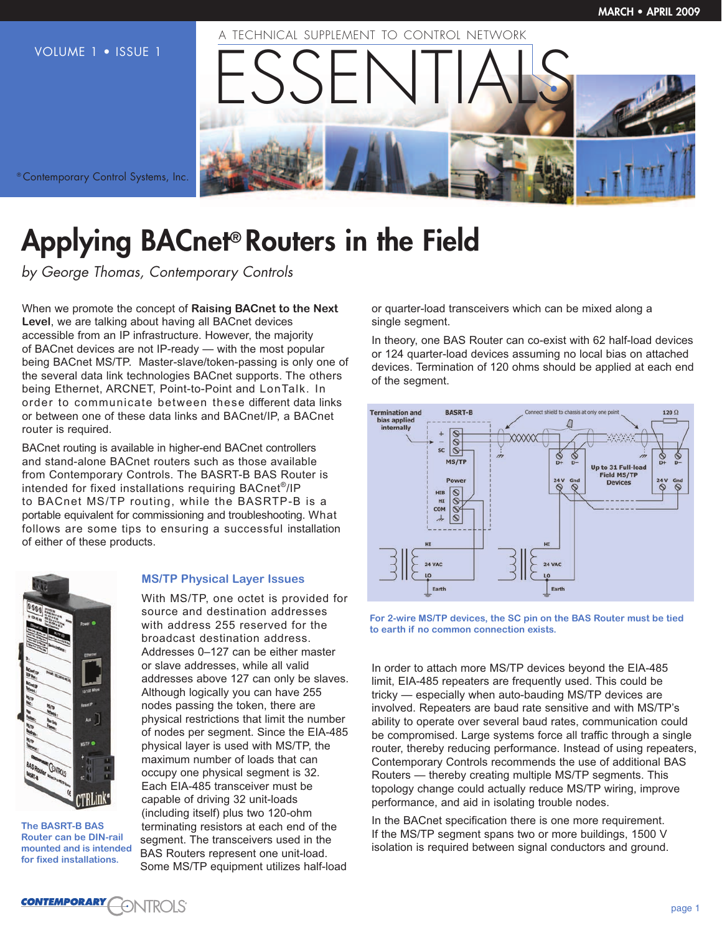

® Contemporary Control Systems, Inc.

# **Applying BACnet® Routers in the Field**

by George Thomas, Contemporary Controls

When we promote the concept of **Raising BACnet to the Next Level**, we are talking about having all BACnet devices accessible from an IP infrastructure. However, the majority of BACnet devices are not IP-ready — with the most popular being BACnet MS/TP. Master-slave/token-passing is only one of the several data link technologies BACnet supports. The others being Ethernet, ARCNET, Point-to-Point and LonTalk. In order to communicate between these different data links or between one of these data links and BACnet/IP, a BACnet router is required.

BACnet routing is available in higher-end BACnet controllers and stand-alone BACnet routers such as those available from Contemporary Controls. The BASRT-B BAS Router is intended for fixed installations requiring BACnet®/IP to BACnet MS/TP routing, while the BASRTP-B is a portable equivalent for commissioning and troubleshooting. What follows are some tips to ensuring a successful installation of either of these products.



**The BASRT-B BAS Router can be DIN-rail mounted and is intended for fixed installations.**

## **MS/TP Physical Layer Issues**

With MS/TP, one octet is provided for source and destination addresses with address 255 reserved for the broadcast destination address. Addresses 0–127 can be either master or slave addresses, while all valid addresses above 127 can only be slaves. Although logically you can have 255 nodes passing the token, there are physical restrictions that limit the number of nodes per segment. Since the EIA-485 physical layer is used with MS/TP, the maximum number of loads that can occupy one physical segment is 32. Each EIA-485 transceiver must be capable of driving 32 unit-loads (including itself) plus two 120-ohm terminating resistors at each end of the segment. The transceivers used in the BAS Routers represent one unit-load. Some MS/TP equipment utilizes half-load

or quarter-load transceivers which can be mixed along a single segment.

In theory, one BAS Router can co-exist with 62 half-load devices or 124 quarter-load devices assuming no local bias on attached devices. Termination of 120 ohms should be applied at each end of the segment.



**For 2-wire MS/TP devices, the SC pin on the BAS Router must be tied to earth if no common connection exists.**

In order to attach more MS/TP devices beyond the EIA-485 limit, EIA-485 repeaters are frequently used. This could be tricky — especially when auto-bauding MS/TP devices are involved. Repeaters are baud rate sensitive and with MS/TP's ability to operate over several baud rates, communication could be compromised. Large systems force all traffic through a single router, thereby reducing performance. Instead of using repeaters, Contemporary Controls recommends the use of additional BAS Routers — thereby creating multiple MS/TP segments. This topology change could actually reduce MS/TP wiring, improve performance, and aid in isolating trouble nodes.

In the BACnet specification there is one more requirement. If the MS/TP segment spans two or more buildings, 1500 V isolation is required between signal conductors and ground.